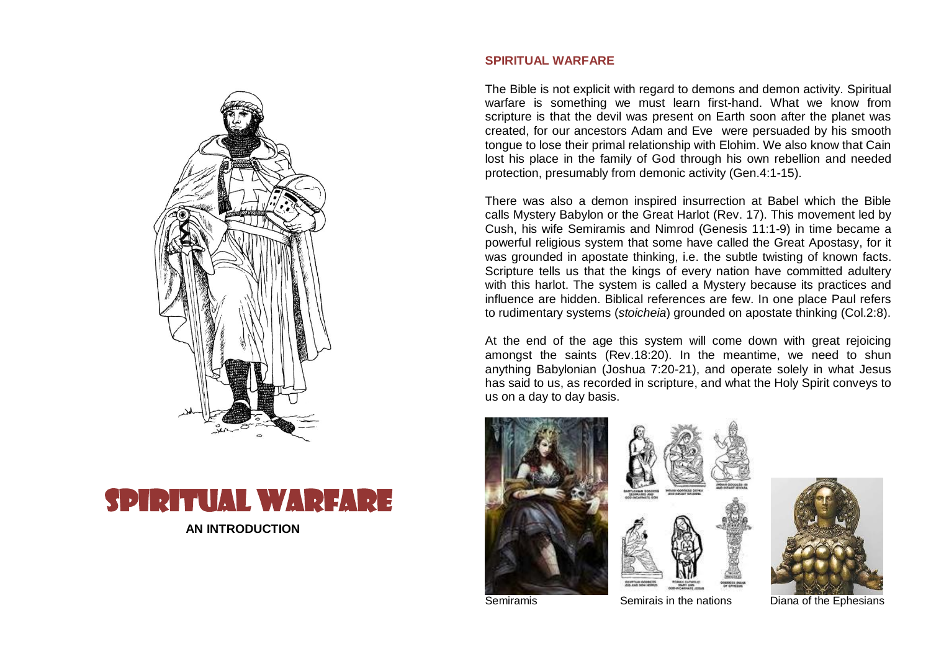



# **SPIRITUAL WARFARE**

The Bible is not explicit with regard to demons and demon activity. Spiritual warfare is something we must learn first-hand. What we know from scripture is that the devil was present on Earth soon after the planet was created, for our ancestors Adam and Eve were persuaded by his smooth tongue to lose their primal relationship with Elohim. We also know that Cain lost his place in the family of God through his own rebellion and needed protection, presumably from demonic activity (Gen.4:1-15).

There was also a demon inspired insurrection at Babel which the Bible calls Mystery Babylon or the Great Harlot (Rev. 17). This movement led by Cush, his wife Semiramis and Nimrod (Genesis 11:1-9) in time became a powerful religious system that some have called the Great Apostasy, for it was grounded in apostate thinking, i.e. the subtle twisting of known facts. Scripture tells us that the kings of every nation have committed adultery with this harlot. The system is called a Mystery because its practices and influence are hidden. Biblical references are few. In one place Paul refers to rudimentary systems (*stoicheia*) grounded on apostate thinking (Col.2:8).

At the end of the age this system will come down with great rejoicing amongst the saints (Rev.18:20). In the meantime, we need to shun anything Babylonian (Joshua 7:20-21), and operate solely in what Jesus has said to us, as recorded in scripture, and what the Holy Spirit conveys to us on a day to day basis.







Semiramis Semirais in the nations Diana of the Ephesians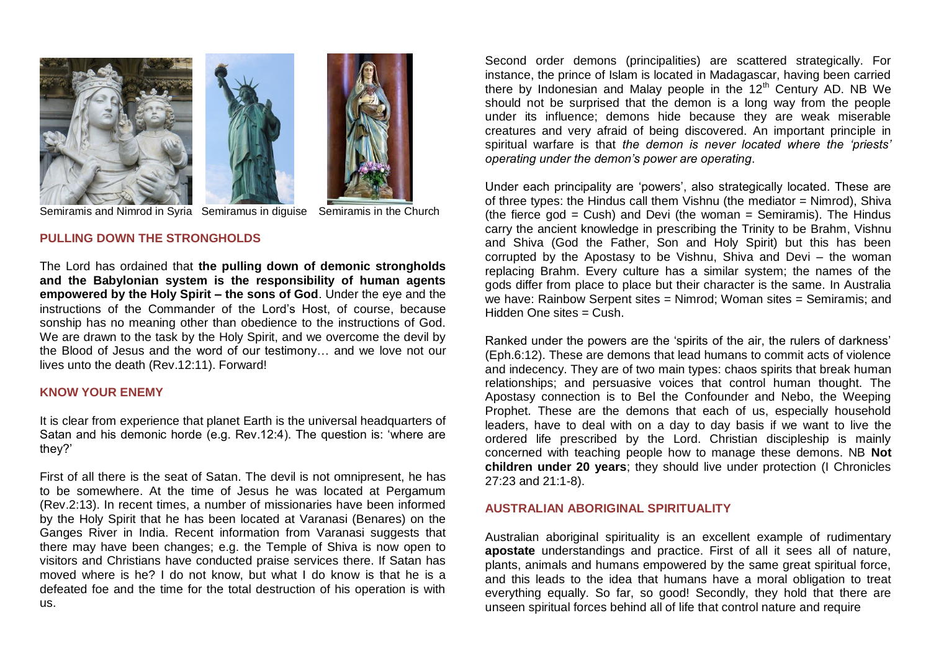



Semiramis and Nimrod in Syria Semiramus in diguise Semiramis in the Church

**PULLING DOWN THE STRONGHOLDS**

The Lord has ordained that **the pulling down of demonic strongholds and the Babylonian system is the responsibility of human agents empowered by the Holy Spirit – the sons of God**. Under the eye and the instructions of the Commander of the Lord's Host, of course, because sonship has no meaning other than obedience to the instructions of God. We are drawn to the task by the Holy Spirit, and we overcome the devil by the Blood of Jesus and the word of our testimony… and we love not our lives unto the death (Rev.12:11). Forward!

### **KNOW YOUR ENEMY**

It is clear from experience that planet Earth is the universal headquarters of Satan and his demonic horde (e.g. Rev.12:4). The question is: 'where are they?'

First of all there is the seat of Satan. The devil is not omnipresent, he has to be somewhere. At the time of Jesus he was located at Pergamum (Rev.2:13). In recent times, a number of missionaries have been informed by the Holy Spirit that he has been located at Varanasi (Benares) on the Ganges River in India. Recent information from Varanasi suggests that there may have been changes; e.g. the Temple of Shiva is now open to visitors and Christians have conducted praise services there. If Satan has moved where is he? I do not know, but what I do know is that he is a defeated foe and the time for the total destruction of his operation is with us.

Second order demons (principalities) are scattered strategically. For instance, the prince of Islam is located in Madagascar, having been carried there by Indonesian and Malay people in the  $12<sup>th</sup>$  Century AD. NB We should not be surprised that the demon is a long way from the people under its influence; demons hide because they are weak miserable creatures and very afraid of being discovered. An important principle in spiritual warfare is that *the demon is never located where the 'priests' operating under the demon's power are operating*.

Under each principality are 'powers', also strategically located. These are of three types: the Hindus call them Vishnu (the mediator = Nimrod), Shiva (the fierce god = Cush) and Devi (the woman = Semiramis). The Hindus carry the ancient knowledge in prescribing the Trinity to be Brahm, Vishnu and Shiva (God the Father, Son and Holy Spirit) but this has been corrupted by the Apostasy to be Vishnu, Shiva and Devi – the woman replacing Brahm. Every culture has a similar system; the names of the gods differ from place to place but their character is the same. In Australia we have: Rainbow Serpent sites = Nimrod; Woman sites = Semiramis; and Hidden One sites = Cush.

Ranked under the powers are the 'spirits of the air, the rulers of darkness' (Eph.6:12). These are demons that lead humans to commit acts of violence and indecency. They are of two main types: chaos spirits that break human relationships; and persuasive voices that control human thought. The Apostasy connection is to Bel the Confounder and Nebo, the Weeping Prophet. These are the demons that each of us, especially household leaders, have to deal with on a day to day basis if we want to live the ordered life prescribed by the Lord. Christian discipleship is mainly concerned with teaching people how to manage these demons. NB **Not children under 20 years**; they should live under protection (I Chronicles 27:23 and 21:1-8).

### **AUSTRALIAN ABORIGINAL SPIRITUALITY**

Australian aboriginal spirituality is an excellent example of rudimentary **apostate** understandings and practice. First of all it sees all of nature, plants, animals and humans empowered by the same great spiritual force, and this leads to the idea that humans have a moral obligation to treat everything equally. So far, so good! Secondly, they hold that there are unseen spiritual forces behind all of life that control nature and require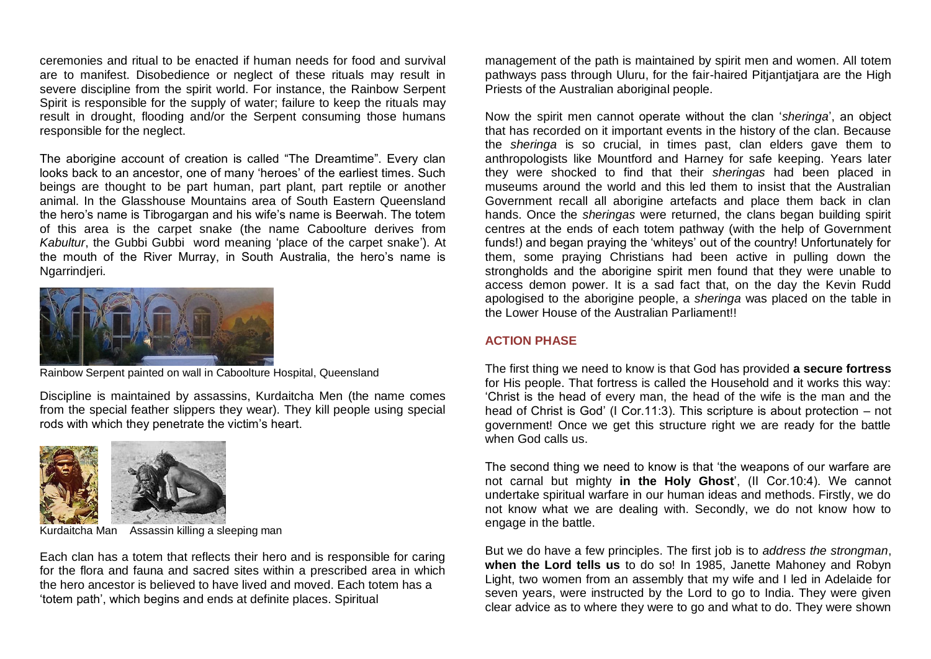ceremonies and ritual to be enacted if human needs for food and survival are to manifest. Disobedience or neglect of these rituals may result in severe discipline from the spirit world. For instance, the Rainbow Serpent Spirit is responsible for the supply of water; failure to keep the rituals may result in drought, flooding and/or the Serpent consuming those humans responsible for the neglect.

The aborigine account of creation is called "The Dreamtime". Every clan looks back to an ancestor, one of many 'heroes' of the earliest times. Such beings are thought to be part human, part plant, part reptile or another animal. In the Glasshouse Mountains area of South Eastern Queensland the hero's name is Tibrogargan and his wife's name is Beerwah. The totem of this area is the carpet snake (the name Caboolture derives from *Kabultur*, the Gubbi Gubbi word meaning 'place of the carpet snake'). At the mouth of the River Murray, in South Australia, the hero's name is Ngarrindjeri.



Rainbow Serpent painted on wall in Caboolture Hospital, Queensland

Discipline is maintained by assassins, Kurdaitcha Men (the name comes from the special feather slippers they wear). They kill people using special rods with which they penetrate the victim's heart.



Kurdaitcha Man Assassin killing a sleeping man

Each clan has a totem that reflects their hero and is responsible for caring for the flora and fauna and sacred sites within a prescribed area in which the hero ancestor is believed to have lived and moved. Each totem has a 'totem path', which begins and ends at definite places. Spiritual

management of the path is maintained by spirit men and women. All totem pathways pass through Uluru, for the fair-haired Pitjantjatjara are the High Priests of the Australian aboriginal people.

Now the spirit men cannot operate without the clan '*sheringa*', an object that has recorded on it important events in the history of the clan. Because the *sheringa* is so crucial, in times past, clan elders gave them to anthropologists like Mountford and Harney for safe keeping. Years later they were shocked to find that their *sheringas* had been placed in museums around the world and this led them to insist that the Australian Government recall all aborigine artefacts and place them back in clan hands. Once the *sheringas* were returned, the clans began building spirit centres at the ends of each totem pathway (with the help of Government funds!) and began praying the 'whiteys' out of the country! Unfortunately for them, some praying Christians had been active in pulling down the strongholds and the aborigine spirit men found that they were unable to access demon power. It is a sad fact that, on the day the Kevin Rudd apologised to the aborigine people, a *sheringa* was placed on the table in the Lower House of the Australian Parliament!!

### **ACTION PHASE**

The first thing we need to know is that God has provided **a secure fortress** for His people. That fortress is called the Household and it works this way: 'Christ is the head of every man, the head of the wife is the man and the head of Christ is God' (I Cor.11:3). This scripture is about protection – not government! Once we get this structure right we are ready for the battle when God calls us.

The second thing we need to know is that 'the weapons of our warfare are not carnal but mighty **in the Holy Ghost**', (II Cor.10:4). We cannot undertake spiritual warfare in our human ideas and methods. Firstly, we do not know what we are dealing with. Secondly, we do not know how to engage in the battle.

But we do have a few principles. The first job is to *address the strongman*, **when the Lord tells us** to do so! In 1985, Janette Mahoney and Robyn Light, two women from an assembly that my wife and I led in Adelaide for seven years, were instructed by the Lord to go to India. They were given clear advice as to where they were to go and what to do. They were shown